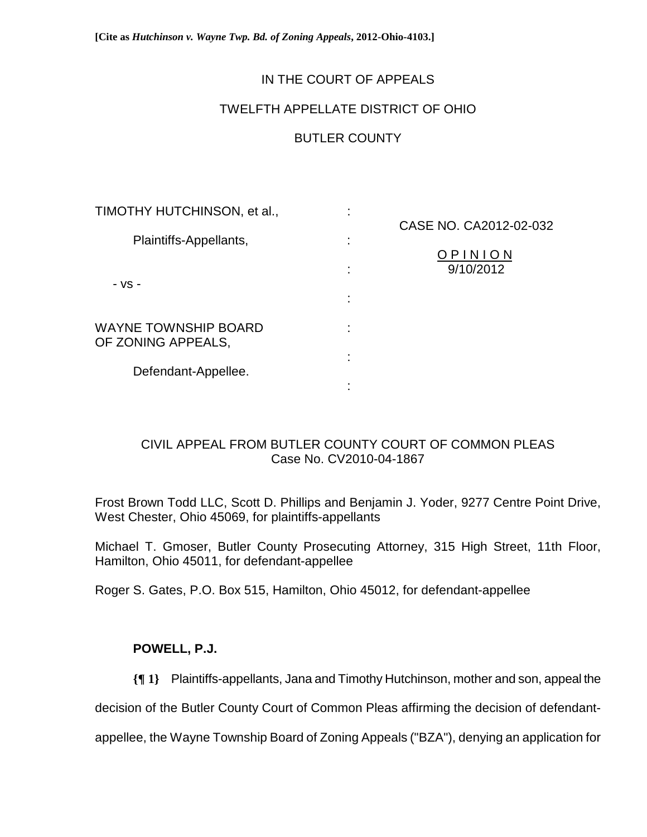**[Cite as** *Hutchinson v. Wayne Twp. Bd. of Zoning Appeals***, 2012-Ohio-4103.]**

## IN THE COURT OF APPEALS

## TWELFTH APPELLATE DISTRICT OF OHIO

# BUTLER COUNTY

| TIMOTHY HUTCHINSON, et al.,                       | ٠ |                        |
|---------------------------------------------------|---|------------------------|
|                                                   |   | CASE NO. CA2012-02-032 |
| Plaintiffs-Appellants,<br>- VS -                  |   |                        |
|                                                   |   | OPINION<br>9/10/2012   |
|                                                   |   |                        |
| <b>WAYNE TOWNSHIP BOARD</b><br>OF ZONING APPEALS, | ٠ |                        |
| Defendant-Appellee.                               |   |                        |
|                                                   |   |                        |

# CIVIL APPEAL FROM BUTLER COUNTY COURT OF COMMON PLEAS Case No. CV2010-04-1867

Frost Brown Todd LLC, Scott D. Phillips and Benjamin J. Yoder, 9277 Centre Point Drive, West Chester, Ohio 45069, for plaintiffs-appellants

Michael T. Gmoser, Butler County Prosecuting Attorney, 315 High Street, 11th Floor, Hamilton, Ohio 45011, for defendant-appellee

Roger S. Gates, P.O. Box 515, Hamilton, Ohio 45012, for defendant-appellee

## **POWELL, P.J.**

**{¶ 1}** Plaintiffs-appellants, Jana and Timothy Hutchinson, mother and son, appeal the

decision of the Butler County Court of Common Pleas affirming the decision of defendant-

appellee, the Wayne Township Board of Zoning Appeals ("BZA"), denying an application for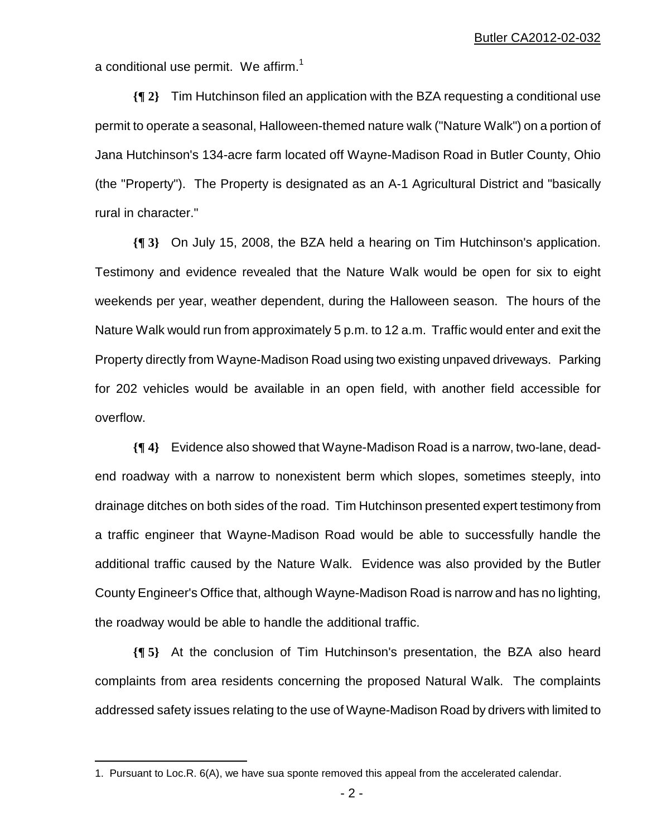a conditional use permit. We affirm.<sup>1</sup>

**{¶ 2}** Tim Hutchinson filed an application with the BZA requesting a conditional use permit to operate a seasonal, Halloween-themed nature walk ("Nature Walk") on a portion of Jana Hutchinson's 134-acre farm located off Wayne-Madison Road in Butler County, Ohio (the "Property"). The Property is designated as an A-1 Agricultural District and "basically rural in character."

**{¶ 3}** On July 15, 2008, the BZA held a hearing on Tim Hutchinson's application. Testimony and evidence revealed that the Nature Walk would be open for six to eight weekends per year, weather dependent, during the Halloween season. The hours of the Nature Walk would run from approximately 5 p.m. to 12 a.m. Traffic would enter and exit the Property directly from Wayne-Madison Road using two existing unpaved driveways. Parking for 202 vehicles would be available in an open field, with another field accessible for overflow.

**{¶ 4}** Evidence also showed that Wayne-Madison Road is a narrow, two-lane, deadend roadway with a narrow to nonexistent berm which slopes, sometimes steeply, into drainage ditches on both sides of the road. Tim Hutchinson presented expert testimony from a traffic engineer that Wayne-Madison Road would be able to successfully handle the additional traffic caused by the Nature Walk. Evidence was also provided by the Butler County Engineer's Office that, although Wayne-Madison Road is narrow and has no lighting, the roadway would be able to handle the additional traffic.

**{¶ 5}** At the conclusion of Tim Hutchinson's presentation, the BZA also heard complaints from area residents concerning the proposed Natural Walk. The complaints addressed safety issues relating to the use of Wayne-Madison Road by drivers with limited to

 $\overline{a}$ 

<sup>1.</sup> Pursuant to Loc.R. 6(A), we have sua sponte removed this appeal from the accelerated calendar.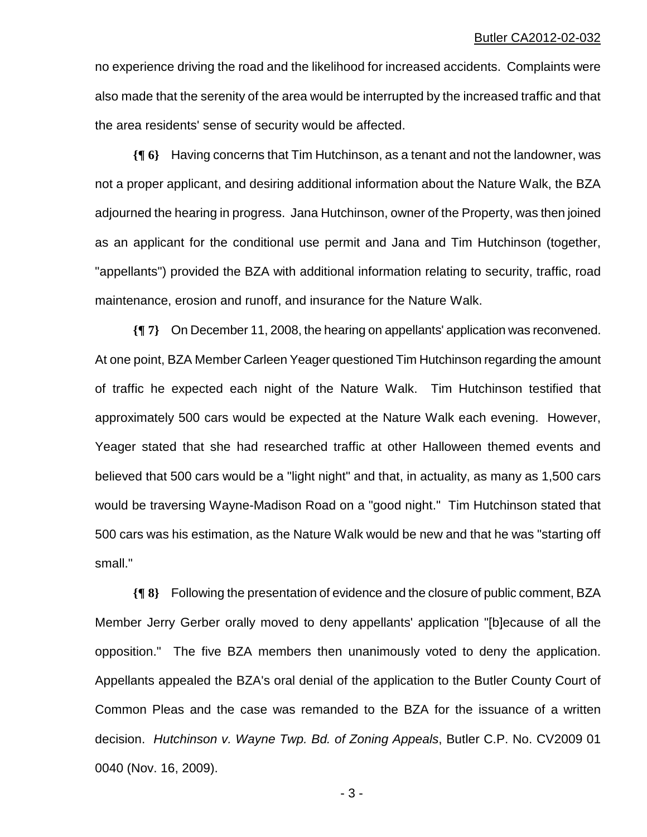no experience driving the road and the likelihood for increased accidents. Complaints were also made that the serenity of the area would be interrupted by the increased traffic and that the area residents' sense of security would be affected.

**{¶ 6}** Having concerns that Tim Hutchinson, as a tenant and not the landowner, was not a proper applicant, and desiring additional information about the Nature Walk, the BZA adjourned the hearing in progress. Jana Hutchinson, owner of the Property, was then joined as an applicant for the conditional use permit and Jana and Tim Hutchinson (together, "appellants") provided the BZA with additional information relating to security, traffic, road maintenance, erosion and runoff, and insurance for the Nature Walk.

**{¶ 7}** On December 11, 2008, the hearing on appellants' application was reconvened. At one point, BZA Member Carleen Yeager questioned Tim Hutchinson regarding the amount of traffic he expected each night of the Nature Walk. Tim Hutchinson testified that approximately 500 cars would be expected at the Nature Walk each evening. However, Yeager stated that she had researched traffic at other Halloween themed events and believed that 500 cars would be a "light night" and that, in actuality, as many as 1,500 cars would be traversing Wayne-Madison Road on a "good night." Tim Hutchinson stated that 500 cars was his estimation, as the Nature Walk would be new and that he was "starting off small."

**{¶ 8}** Following the presentation of evidence and the closure of public comment, BZA Member Jerry Gerber orally moved to deny appellants' application "[b]ecause of all the opposition." The five BZA members then unanimously voted to deny the application. Appellants appealed the BZA's oral denial of the application to the Butler County Court of Common Pleas and the case was remanded to the BZA for the issuance of a written decision. *Hutchinson v. Wayne Twp. Bd. of Zoning Appeals*, Butler C.P. No. CV2009 01 0040 (Nov. 16, 2009).

 $-3 -$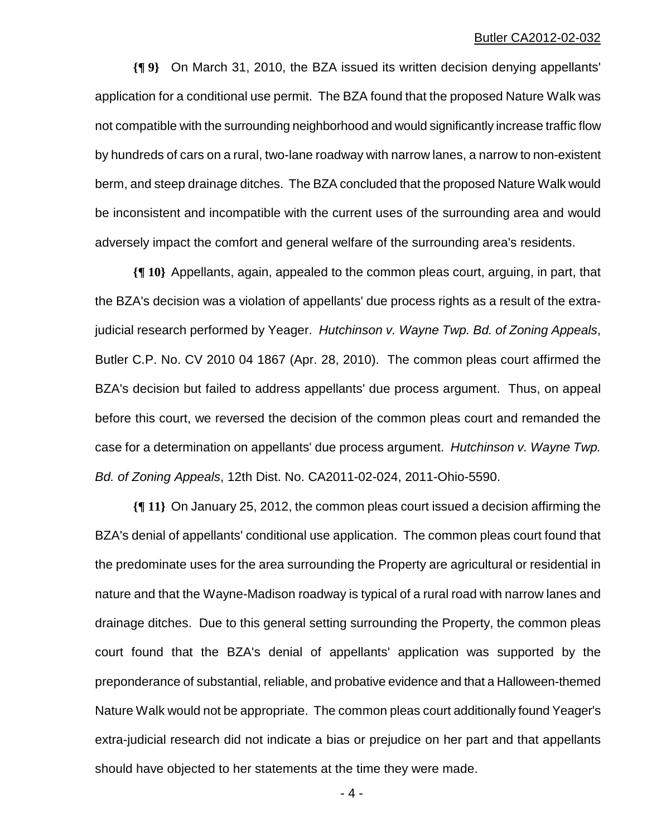**{¶ 9}** On March 31, 2010, the BZA issued its written decision denying appellants' application for a conditional use permit. The BZA found that the proposed Nature Walk was not compatible with the surrounding neighborhood and would significantly increase traffic flow by hundreds of cars on a rural, two-lane roadway with narrow lanes, a narrow to non-existent berm, and steep drainage ditches. The BZA concluded that the proposed Nature Walk would be inconsistent and incompatible with the current uses of the surrounding area and would adversely impact the comfort and general welfare of the surrounding area's residents.

**{¶ 10}** Appellants, again, appealed to the common pleas court, arguing, in part, that the BZA's decision was a violation of appellants' due process rights as a result of the extrajudicial research performed by Yeager. *Hutchinson v. Wayne Twp. Bd. of Zoning Appeals*, Butler C.P. No. CV 2010 04 1867 (Apr. 28, 2010). The common pleas court affirmed the BZA's decision but failed to address appellants' due process argument. Thus, on appeal before this court, we reversed the decision of the common pleas court and remanded the case for a determination on appellants' due process argument. *Hutchinson v. Wayne Twp. Bd. of Zoning Appeals*, 12th Dist. No. CA2011-02-024, 2011-Ohio-5590.

**{¶ 11}** On January 25, 2012, the common pleas court issued a decision affirming the BZA's denial of appellants' conditional use application. The common pleas court found that the predominate uses for the area surrounding the Property are agricultural or residential in nature and that the Wayne-Madison roadway is typical of a rural road with narrow lanes and drainage ditches. Due to this general setting surrounding the Property, the common pleas court found that the BZA's denial of appellants' application was supported by the preponderance of substantial, reliable, and probative evidence and that a Halloween-themed Nature Walk would not be appropriate. The common pleas court additionally found Yeager's extra-judicial research did not indicate a bias or prejudice on her part and that appellants should have objected to her statements at the time they were made.

 $-4-$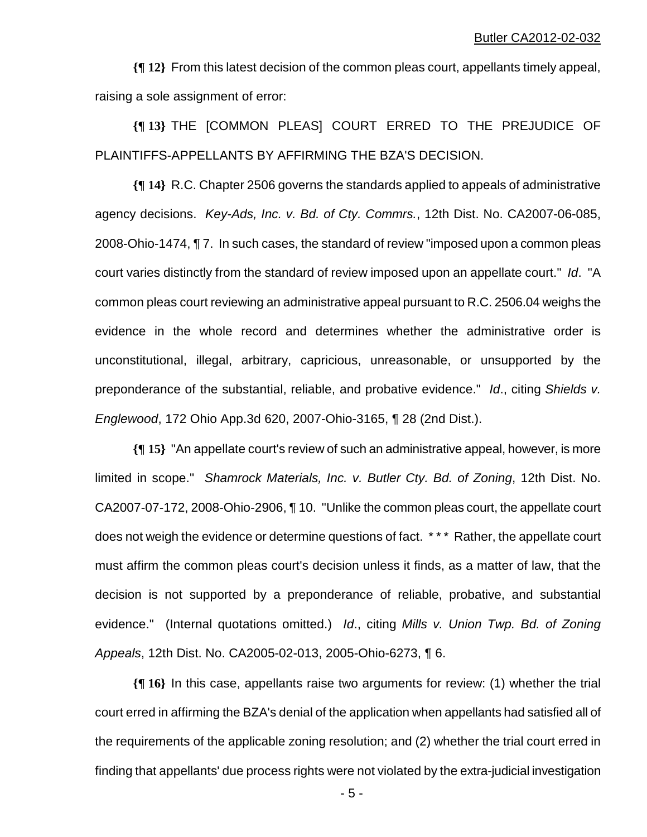**{¶ 12}** From this latest decision of the common pleas court, appellants timely appeal, raising a sole assignment of error:

**{¶ 13}** THE [COMMON PLEAS] COURT ERRED TO THE PREJUDICE OF PLAINTIFFS-APPELLANTS BY AFFIRMING THE BZA'S DECISION.

**{¶ 14}** R.C. Chapter 2506 governs the standards applied to appeals of administrative agency decisions. *Key-Ads, Inc. v. Bd. of Cty. Commrs.*, 12th Dist. No. CA2007-06-085, 2008-Ohio-1474, ¶ 7. In such cases, the standard of review "imposed upon a common pleas court varies distinctly from the standard of review imposed upon an appellate court." *Id*. "A common pleas court reviewing an administrative appeal pursuant to R.C. 2506.04 weighs the evidence in the whole record and determines whether the administrative order is unconstitutional, illegal, arbitrary, capricious, unreasonable, or unsupported by the preponderance of the substantial, reliable, and probative evidence." *Id*., citing *Shields v. Englewood*, 172 Ohio App.3d 620, 2007-Ohio-3165, ¶ 28 (2nd Dist.).

**{¶ 15}** "An appellate court's review of such an administrative appeal, however, is more limited in scope." *Shamrock Materials, Inc. v. Butler Cty. Bd. of Zoning*, 12th Dist. No. CA2007-07-172, 2008-Ohio-2906, ¶ 10. "Unlike the common pleas court, the appellate court does not weigh the evidence or determine questions of fact. \*\*\* Rather, the appellate court must affirm the common pleas court's decision unless it finds, as a matter of law, that the decision is not supported by a preponderance of reliable, probative, and substantial evidence." (Internal quotations omitted.) *Id*., citing *Mills v. Union Twp. Bd. of Zoning Appeals*, 12th Dist. No. CA2005-02-013, 2005-Ohio-6273, ¶ 6.

**{¶ 16}** In this case, appellants raise two arguments for review: (1) whether the trial court erred in affirming the BZA's denial of the application when appellants had satisfied all of the requirements of the applicable zoning resolution; and (2) whether the trial court erred in finding that appellants' due process rights were not violated by the extra-judicial investigation

 $-5$  -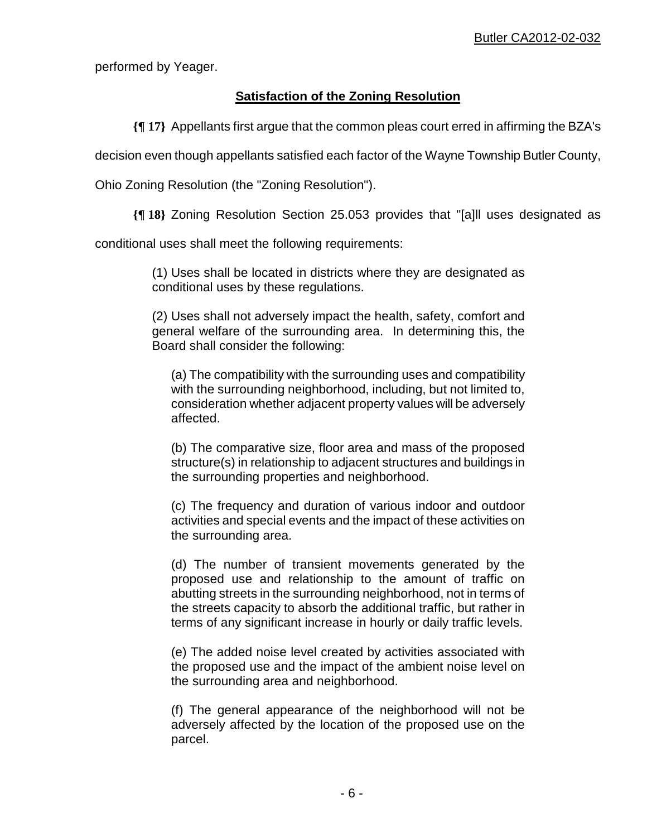performed by Yeager.

# **Satisfaction of the Zoning Resolution**

**{¶ 17}** Appellants first argue that the common pleas court erred in affirming the BZA's

decision even though appellants satisfied each factor of the Wayne Township Butler County,

Ohio Zoning Resolution (the "Zoning Resolution").

**{¶ 18}** Zoning Resolution Section 25.053 provides that "[a]ll uses designated as

conditional uses shall meet the following requirements:

(1) Uses shall be located in districts where they are designated as conditional uses by these regulations.

(2) Uses shall not adversely impact the health, safety, comfort and general welfare of the surrounding area. In determining this, the Board shall consider the following:

(a) The compatibility with the surrounding uses and compatibility with the surrounding neighborhood, including, but not limited to, consideration whether adjacent property values will be adversely affected.

(b) The comparative size, floor area and mass of the proposed structure(s) in relationship to adjacent structures and buildings in the surrounding properties and neighborhood.

(c) The frequency and duration of various indoor and outdoor activities and special events and the impact of these activities on the surrounding area.

(d) The number of transient movements generated by the proposed use and relationship to the amount of traffic on abutting streets in the surrounding neighborhood, not in terms of the streets capacity to absorb the additional traffic, but rather in terms of any significant increase in hourly or daily traffic levels.

(e) The added noise level created by activities associated with the proposed use and the impact of the ambient noise level on the surrounding area and neighborhood.

(f) The general appearance of the neighborhood will not be adversely affected by the location of the proposed use on the parcel.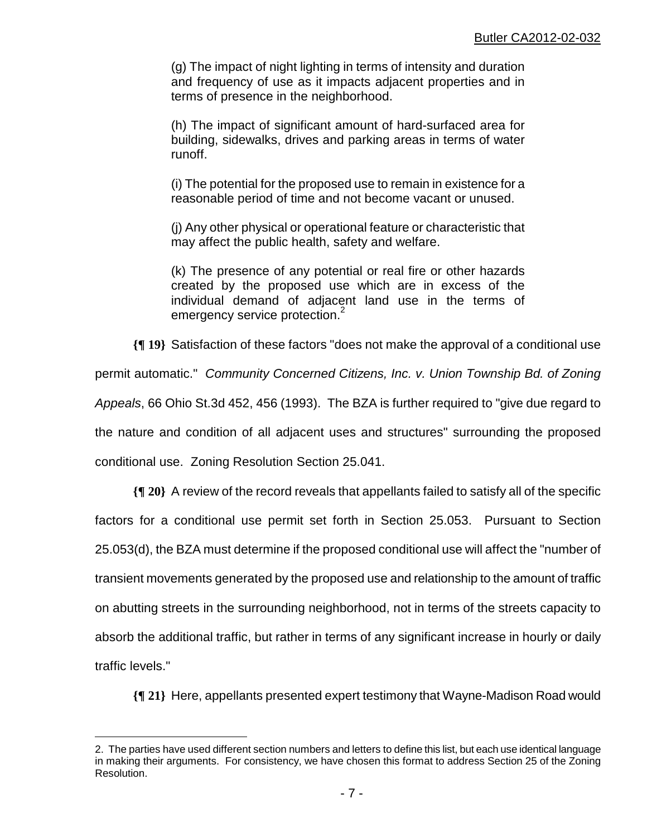(g) The impact of night lighting in terms of intensity and duration and frequency of use as it impacts adjacent properties and in terms of presence in the neighborhood.

(h) The impact of significant amount of hard-surfaced area for building, sidewalks, drives and parking areas in terms of water runoff.

(i) The potential for the proposed use to remain in existence for a reasonable period of time and not become vacant or unused.

(j) Any other physical or operational feature or characteristic that may affect the public health, safety and welfare.

(k) The presence of any potential or real fire or other hazards created by the proposed use which are in excess of the individual demand of adjacent land use in the terms of emergency service protection.<sup>2</sup>

**{¶ 19}** Satisfaction of these factors "does not make the approval of a conditional use

permit automatic." *Community Concerned Citizens, Inc. v. Union Township Bd. of Zoning* 

*Appeals*, 66 Ohio St.3d 452, 456 (1993). The BZA is further required to "give due regard to

the nature and condition of all adjacent uses and structures" surrounding the proposed

conditional use. Zoning Resolution Section 25.041.

 $\overline{a}$ 

**{¶ 20}** A review of the record reveals that appellants failed to satisfy all of the specific factors for a conditional use permit set forth in Section 25.053. Pursuant to Section 25.053(d), the BZA must determine if the proposed conditional use will affect the "number of transient movements generated by the proposed use and relationship to the amount of traffic on abutting streets in the surrounding neighborhood, not in terms of the streets capacity to absorb the additional traffic, but rather in terms of any significant increase in hourly or daily traffic levels."

**{¶ 21}** Here, appellants presented expert testimony that Wayne-Madison Road would

<sup>2.</sup> The parties have used different section numbers and letters to define this list, but each use identical language in making their arguments. For consistency, we have chosen this format to address Section 25 of the Zoning Resolution.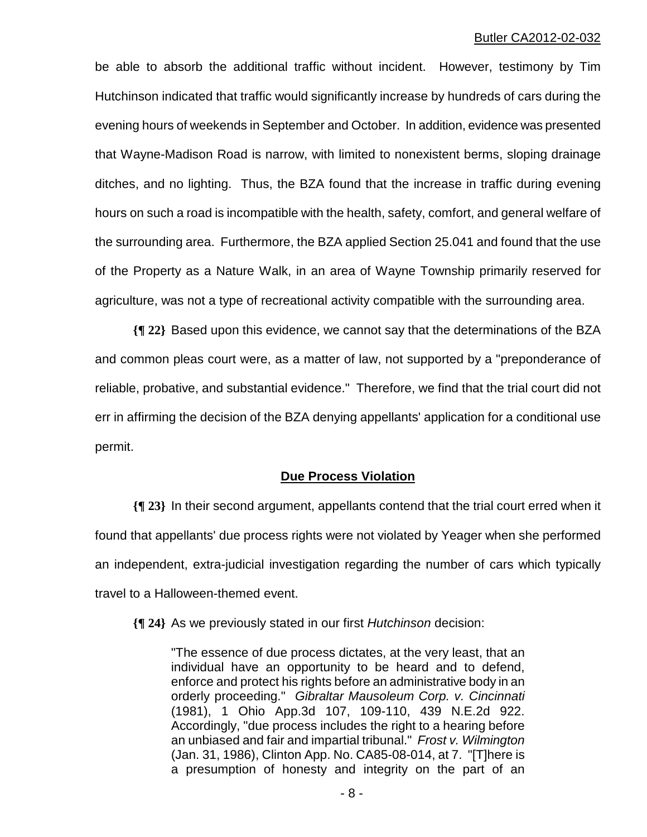be able to absorb the additional traffic without incident. However, testimony by Tim Hutchinson indicated that traffic would significantly increase by hundreds of cars during the evening hours of weekends in September and October. In addition, evidence was presented that Wayne-Madison Road is narrow, with limited to nonexistent berms, sloping drainage ditches, and no lighting. Thus, the BZA found that the increase in traffic during evening hours on such a road is incompatible with the health, safety, comfort, and general welfare of the surrounding area. Furthermore, the BZA applied Section 25.041 and found that the use of the Property as a Nature Walk, in an area of Wayne Township primarily reserved for agriculture, was not a type of recreational activity compatible with the surrounding area.

**{¶ 22}** Based upon this evidence, we cannot say that the determinations of the BZA and common pleas court were, as a matter of law, not supported by a "preponderance of reliable, probative, and substantial evidence." Therefore, we find that the trial court did not err in affirming the decision of the BZA denying appellants' application for a conditional use permit.

#### **Due Process Violation**

**{¶ 23}** In their second argument, appellants contend that the trial court erred when it found that appellants' due process rights were not violated by Yeager when she performed an independent, extra-judicial investigation regarding the number of cars which typically travel to a Halloween-themed event.

**{¶ 24}** As we previously stated in our first *Hutchinson* decision:

"The essence of due process dictates, at the very least, that an individual have an opportunity to be heard and to defend, enforce and protect his rights before an administrative body in an orderly proceeding." *Gibraltar Mausoleum Corp. v. Cincinnati* (1981), 1 Ohio App.3d 107, 109-110, 439 N.E.2d 922. Accordingly, "due process includes the right to a hearing before an unbiased and fair and impartial tribunal." *Frost v. Wilmington* (Jan. 31, 1986), Clinton App. No. CA85-08-014, at 7. "[T]here is a presumption of honesty and integrity on the part of an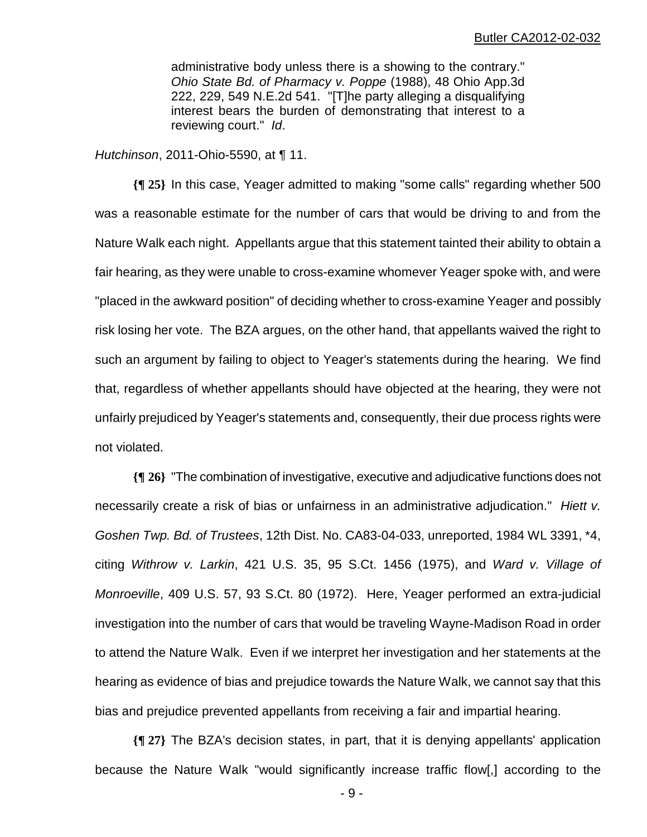administrative body unless there is a showing to the contrary." *Ohio State Bd. of Pharmacy v. Poppe* (1988), 48 Ohio App.3d 222, 229, 549 N.E.2d 541. "[T]he party alleging a disqualifying interest bears the burden of demonstrating that interest to a reviewing court." *Id*.

*Hutchinson*, 2011-Ohio-5590, at ¶ 11.

**{¶ 25}** In this case, Yeager admitted to making "some calls" regarding whether 500 was a reasonable estimate for the number of cars that would be driving to and from the Nature Walk each night. Appellants argue that this statement tainted their ability to obtain a fair hearing, as they were unable to cross-examine whomever Yeager spoke with, and were "placed in the awkward position" of deciding whether to cross-examine Yeager and possibly risk losing her vote. The BZA argues, on the other hand, that appellants waived the right to such an argument by failing to object to Yeager's statements during the hearing. We find that, regardless of whether appellants should have objected at the hearing, they were not unfairly prejudiced by Yeager's statements and, consequently, their due process rights were not violated.

**{¶ 26}** "The combination of investigative, executive and adjudicative functions does not necessarily create a risk of bias or unfairness in an administrative adjudication." *Hiett v. Goshen Twp. Bd. of Trustees*, 12th Dist. No. CA83-04-033, unreported, 1984 WL 3391, \*4, citing *Withrow v. Larkin*, 421 U.S. 35, 95 S.Ct. 1456 (1975), and *Ward v. Village of Monroeville*, 409 U.S. 57, 93 S.Ct. 80 (1972). Here, Yeager performed an extra-judicial investigation into the number of cars that would be traveling Wayne-Madison Road in order to attend the Nature Walk. Even if we interpret her investigation and her statements at the hearing as evidence of bias and prejudice towards the Nature Walk, we cannot say that this bias and prejudice prevented appellants from receiving a fair and impartial hearing.

**{¶ 27}** The BZA's decision states, in part, that it is denying appellants' application because the Nature Walk "would significantly increase traffic flow[,] according to the

 $-9 -$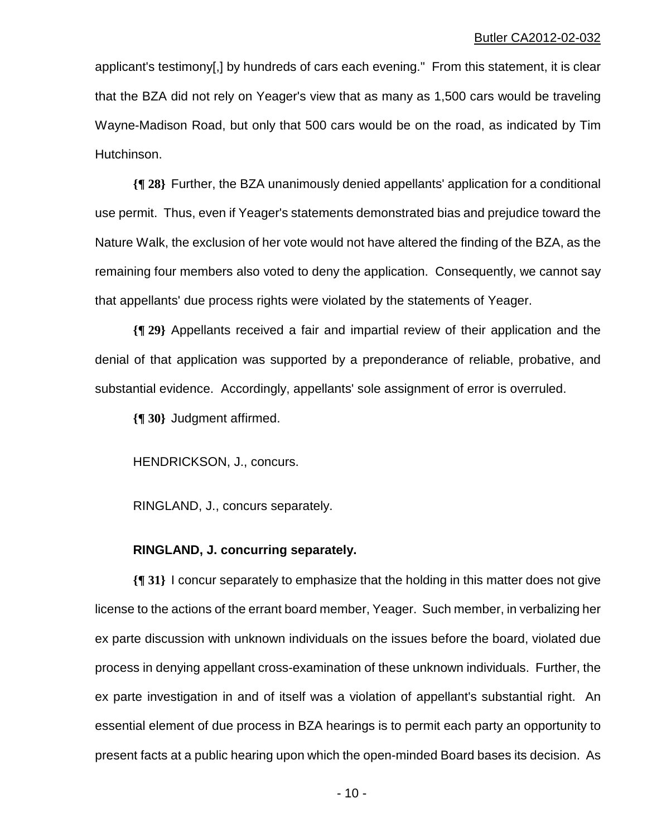applicant's testimony[,] by hundreds of cars each evening." From this statement, it is clear that the BZA did not rely on Yeager's view that as many as 1,500 cars would be traveling Wayne-Madison Road, but only that 500 cars would be on the road, as indicated by Tim Hutchinson.

**{¶ 28}** Further, the BZA unanimously denied appellants' application for a conditional use permit. Thus, even if Yeager's statements demonstrated bias and prejudice toward the Nature Walk, the exclusion of her vote would not have altered the finding of the BZA, as the remaining four members also voted to deny the application. Consequently, we cannot say that appellants' due process rights were violated by the statements of Yeager.

**{¶ 29}** Appellants received a fair and impartial review of their application and the denial of that application was supported by a preponderance of reliable, probative, and substantial evidence. Accordingly, appellants' sole assignment of error is overruled.

**{¶ 30}** Judgment affirmed.

HENDRICKSON, J., concurs.

RINGLAND, J., concurs separately.

#### **RINGLAND, J. concurring separately.**

**{¶ 31}** I concur separately to emphasize that the holding in this matter does not give license to the actions of the errant board member, Yeager. Such member, in verbalizing her ex parte discussion with unknown individuals on the issues before the board, violated due process in denying appellant cross-examination of these unknown individuals. Further, the ex parte investigation in and of itself was a violation of appellant's substantial right. An essential element of due process in BZA hearings is to permit each party an opportunity to present facts at a public hearing upon which the open-minded Board bases its decision. As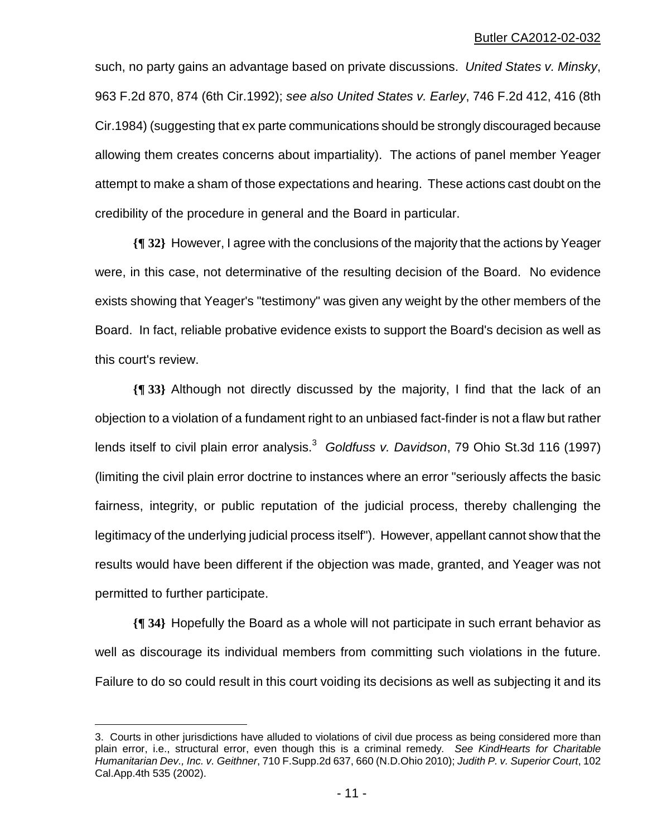such, no party gains an advantage based on private discussions. *United States v. Minsky*, 963 F.2d 870, 874 (6th Cir.1992); *see also United States v. Earley*, 746 F.2d 412, 416 (8th Cir.1984) (suggesting that ex parte communications should be strongly discouraged because allowing them creates concerns about impartiality). The actions of panel member Yeager attempt to make a sham of those expectations and hearing. These actions cast doubt on the credibility of the procedure in general and the Board in particular.

**{¶ 32}** However, I agree with the conclusions of the majority that the actions by Yeager were, in this case, not determinative of the resulting decision of the Board. No evidence exists showing that Yeager's "testimony" was given any weight by the other members of the Board. In fact, reliable probative evidence exists to support the Board's decision as well as this court's review.

**{¶ 33}** Although not directly discussed by the majority, I find that the lack of an objection to a violation of a fundament right to an unbiased fact-finder is not a flaw but rather lends itself to civil plain error analysis.<sup>3</sup> Goldfuss v. Davidson, 79 Ohio St.3d 116 (1997) (limiting the civil plain error doctrine to instances where an error "seriously affects the basic fairness, integrity, or public reputation of the judicial process, thereby challenging the legitimacy of the underlying judicial process itself"). However, appellant cannot show that the results would have been different if the objection was made, granted, and Yeager was not permitted to further participate.

**{¶ 34}** Hopefully the Board as a whole will not participate in such errant behavior as well as discourage its individual members from committing such violations in the future. Failure to do so could result in this court voiding its decisions as well as subjecting it and its

1

<sup>3.</sup> Courts in other jurisdictions have alluded to violations of civil due process as being considered more than plain error, i.e., structural error, even though this is a criminal remedy. *See KindHearts for Charitable Humanitarian Dev., Inc. v. Geithner*, 710 F.Supp.2d 637, 660 (N.D.Ohio 2010); *Judith P. v. Superior Court*, 102 Cal.App.4th 535 (2002).